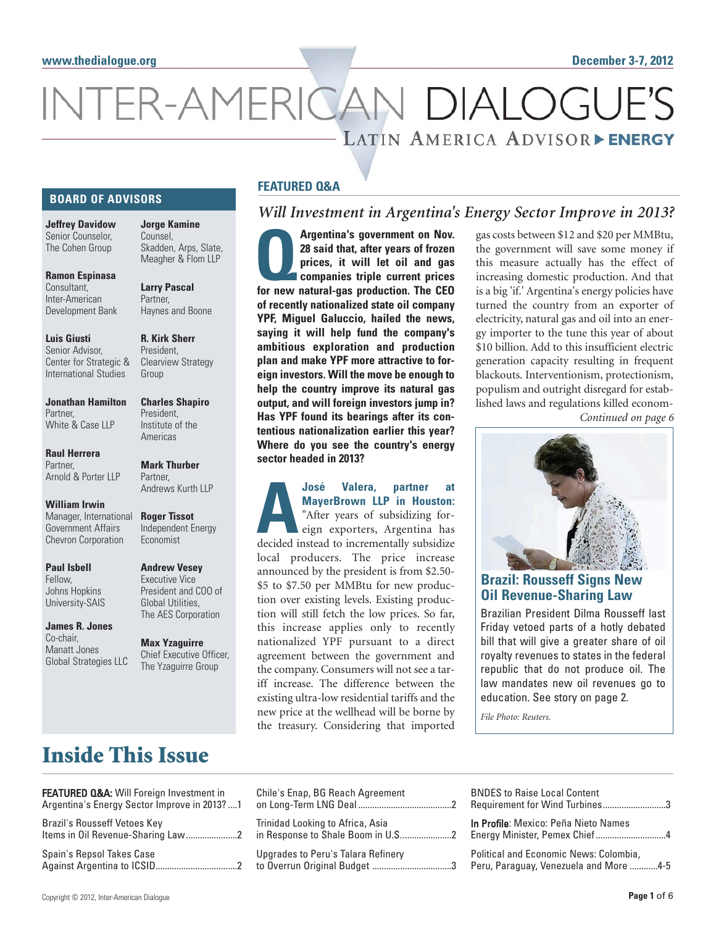# INTER-AMERICAN DIALOGUE LATIN AMERICA ADVISOR FINERGY

#### **BOARD OF ADVISORS**

**Jeffrey Davidow**  Senior Counselor, The Cohen Group

**Jorge Kamine** Counsel, Skadden, Arps, Slate, Meagher & Flom LLP

**Larry Pascal** Partner,

**Ramon Espinasa**  Consultant, Inter-American Development Bank

**Luis Giusti** Senior Advisor, Center for Strategic & International Studies

**R. Kirk Sherr President** Clearview Strategy Group

**Charles Shapiro** President, Institute of the Americas

**Mark Thurber**  Partner,

**Roger Tissot** Independent Energy Economist

Andrews Kurth LLP

Haynes and Boone

**Jonathan Hamilton** Partner, White & Case LLP

**Raul Herrera** Partner, Arnold & Porter LLP

**William Irwin** Manager, International Government Affairs Chevron Corporation

**Paul Isbell** Fellow, Johns Hopkins University-SAIS

**James R. Jones** Co-chair, Manatt Jones Global Strategies LLC **Andrew Vesey** Executive Vice President and COO of Global Utilities, The AES Corporation

**Max Yzaguirre** Chief Executive Officer, The Yzaguirre Group

#### **FEATURED Q&A**

### *Will Investment in Argentina's Energy Sector Improve in 2013?*

**Argentina's government on Nov.**<br> **28 said that, after years of frozen**<br>
prices, it will let oil and gas<br>
companies triple current prices<br>
for new natural-gas production. The CEO **28 said that, after years of frozen prices, it will let oil and gas companies triple current prices of recently nationalized state oil company YPF, Miguel Galuccio, hailed the news, saying it will help fund the company's ambitious exploration and production plan and make YPF more attractive to foreign investors. Will the move be enough to help the country improve its natural gas output, and will foreign investors jump in? Has YPF found its bearings after its contentious nationalization earlier this year? Where do you see the country's energy sector headed in 2013?**

**AJosé Valera, partner at**<br>
MayerBrown LLP in Houston:<br>
"After years of subsidizing for-<br>
eign exporters, Argentina has<br>
decided instead to incrementally subsidize **MayerBrown LLP in Houston:** "After years of subsidizing foreign exporters, Argentina has local producers. The price increase announced by the president is from \$2.50- \$5 to \$7.50 per MMBtu for new production over existing levels. Existing production will still fetch the low prices. So far, this increase applies only to recently nationalized YPF pursuant to a direct agreement between the government and the company. Consumers will not see a tariff increase. The difference between the existing ultra-low residential tariffs and the new price at the wellhead will be borne by the treasury. Considering that imported

gas costs between \$12 and \$20 per MMBtu, the government will save some money if this measure actually has the effect of increasing domestic production. And that is a big 'if.' Argentina's energy policies have turned the country from an exporter of electricity, natural gas and oil into an energy importer to the tune this year of about \$10 billion. Add to this insufficient electric generation capacity resulting in frequent blackouts. Interventionism, protectionism, populism and outright disregard for established laws and regulations killed econom-*Continued on page 6*



**Brazil: Rousseff Signs New Oil Revenue-Sharing Law**

Brazilian President Dilma Rousseff last Friday vetoed parts of a hotly debated bill that will give a greater share of oil royalty revenues to states in the federal republic that do not produce oil. The law mandates new oil revenues go to education. See story on page 2.

*File Photo: Reuters.*

## **Inside This Issue**

| FEATURED Q&A: Will Foreign Investment in<br>Argentina's Energy Sector Improve in 2013?  1 | Chile's Enap, BG R<br>on Long-Term LNG    |
|-------------------------------------------------------------------------------------------|-------------------------------------------|
| Brazil's Rousseff Vetoes Key<br>Items in Oil Revenue-Sharing Law2                         | Trinidad Looking to<br>in Response to Sha |
| Spain's Repsol Takes Case                                                                 | Upgrades to Peru's<br>to Overrun Original |

| vestment in<br>ove in 2013? 1 | Chile's Enap, BG Reach Agreement   | <b>BNDES to Raise Local Content</b><br>Requirement for Wind Turbines3            |
|-------------------------------|------------------------------------|----------------------------------------------------------------------------------|
| w 2                           | Trinidad Looking to Africa, Asia   | In Profile: Mexico: Peña Nieto Names<br>Energy Minister, Pemex Chief4            |
|                               | Upgrades to Peru's Talara Refinery | Political and Economic News: Colombia,<br>Peru, Paraguay, Venezuela and More 4-5 |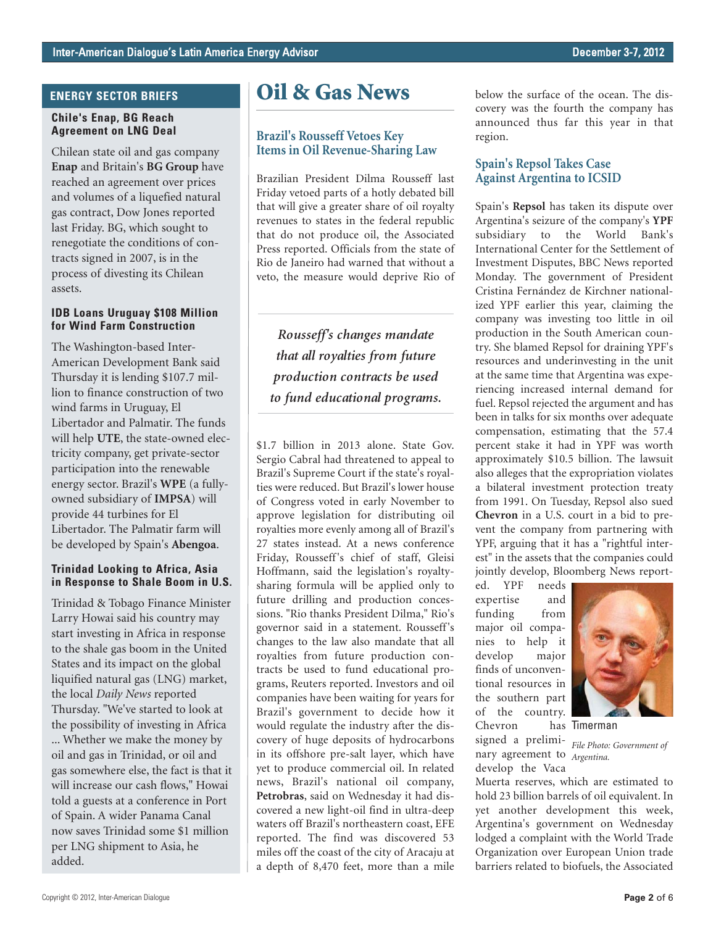#### **ENERGY SECTOR BRIEFS**

#### **Chile's Enap, BG Reach Agreement on LNG Deal**

Chilean state oil and gas company **Enap** and Britain's **BG Group** have reached an agreement over prices and volumes of a liquefied natural gas contract, Dow Jones reported last Friday. BG, which sought to renegotiate the conditions of contracts signed in 2007, is in the process of divesting its Chilean assets.

#### **IDB Loans Uruguay \$108 Million for Wind Farm Construction**

The Washington-based Inter-American Development Bank said Thursday it is lending \$107.7 million to finance construction of two wind farms in Uruguay, El Libertador and Palmatir. The funds will help **UTE**, the state-owned electricity company, get private-sector participation into the renewable energy sector. Brazil's **WPE** (a fullyowned subsidiary of **IMPSA**) will provide 44 turbines for El Libertador. The Palmatir farm will be developed by Spain's **Abengoa**.

#### **Trinidad Looking to Africa, Asia in Response to Shale Boom in U.S.**

Trinidad & Tobago Finance Minister Larry Howai said his country may start investing in Africa in response to the shale gas boom in the United States and its impact on the global liquified natural gas (LNG) market, the local *Daily News* reported Thursday. "We've started to look at the possibility of investing in Africa ... Whether we make the money by oil and gas in Trinidad, or oil and gas somewhere else, the fact is that it will increase our cash flows," Howai told a guests at a conference in Port of Spain. A wider Panama Canal now saves Trinidad some \$1 million per LNG shipment to Asia, he added.

### **Oil & Gas News**

#### **Brazil's Rousseff Vetoes Key Items in Oil Revenue-Sharing Law**

Brazilian President Dilma Rousseff last Friday vetoed parts of a hotly debated bill that will give a greater share of oil royalty revenues to states in the federal republic that do not produce oil, the Associated Press reported. Officials from the state of Rio de Janeiro had warned that without a veto, the measure would deprive Rio of

*Rousseff's changes mandate that all royalties from future production contracts be used to fund educational programs.* 

\$1.7 billion in 2013 alone. State Gov. Sergio Cabral had threatened to appeal to Brazil's Supreme Court if the state's royalties were reduced. But Brazil's lower house of Congress voted in early November to approve legislation for distributing oil royalties more evenly among all of Brazil's 27 states instead. At a news conference Friday, Rousseff's chief of staff, Gleisi Hoffmann, said the legislation's royaltysharing formula will be applied only to future drilling and production concessions. "Rio thanks President Dilma," Rio's governor said in a statement. Rousseff 's changes to the law also mandate that all royalties from future production contracts be used to fund educational programs, Reuters reported. Investors and oil companies have been waiting for years for Brazil's government to decide how it would regulate the industry after the discovery of huge deposits of hydrocarbons in its offshore pre-salt layer, which have yet to produce commercial oil. In related news, Brazil's national oil company, **Petrobras**, said on Wednesday it had discovered a new light-oil find in ultra-deep waters off Brazil's northeastern coast, EFE reported. The find was discovered 53 miles off the coast of the city of Aracaju at a depth of 8,470 feet, more than a mile below the surface of the ocean. The discovery was the fourth the company has announced thus far this year in that region.

#### **Spain's Repsol Takes Case Against Argentina to ICSID**

Spain's **Repsol** has taken its dispute over Argentina's seizure of the company's **YPF** subsidiary to the World Bank's International Center for the Settlement of Investment Disputes, BBC News reported Monday. The government of President Cristina Fernández de Kirchner nationalized YPF earlier this year, claiming the company was investing too little in oil production in the South American country. She blamed Repsol for draining YPF's resources and underinvesting in the unit at the same time that Argentina was experiencing increased internal demand for fuel. Repsol rejected the argument and has been in talks for six months over adequate compensation, estimating that the 57.4 percent stake it had in YPF was worth approximately \$10.5 billion. The lawsuit also alleges that the expropriation violates a bilateral investment protection treaty from 1991. On Tuesday, Repsol also sued **Chevron** in a U.S. court in a bid to prevent the company from partnering with YPF, arguing that it has a "rightful interest" in the assets that the companies could jointly develop, Bloomberg News report-

ed. YPF needs expertise and funding from major oil companies to help it develop major finds of unconventional resources in the southern part of the country. Chevron



has Timerman

signed a prelimi-*File Photo: Government of* nary agreement to *Argentina.* 

develop the Vaca Muerta reserves, which are estimated to hold 23 billion barrels of oil equivalent. In yet another development this week, Argentina's government on Wednesday lodged a complaint with the World Trade Organization over European Union trade barriers related to biofuels, the Associated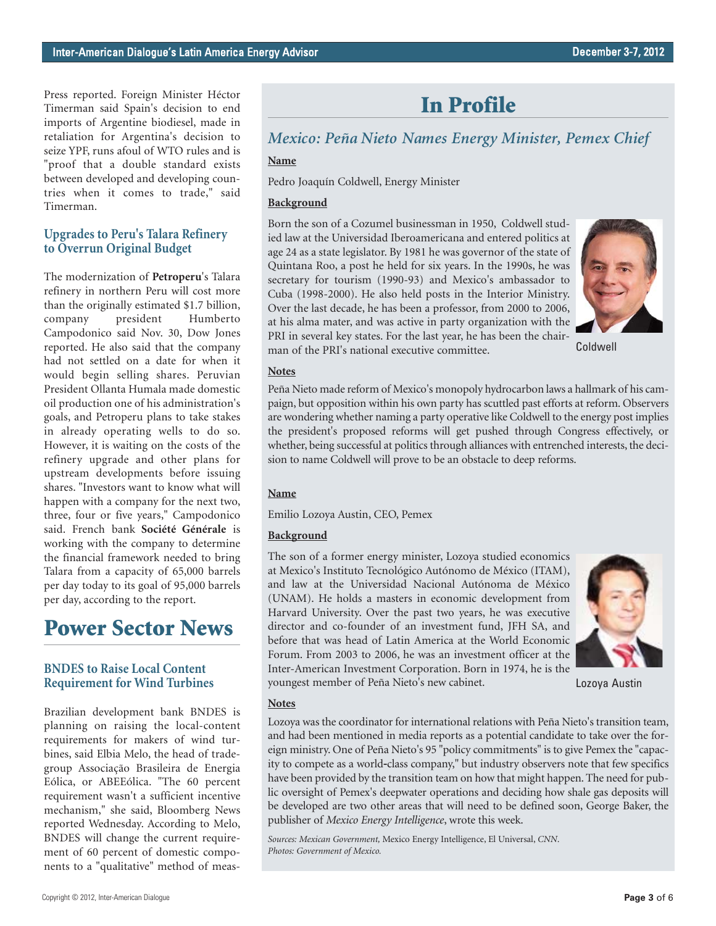Press reported. Foreign Minister Héctor Timerman said Spain's decision to end imports of Argentine biodiesel, made in retaliation for Argentina's decision to seize YPF, runs afoul of WTO rules and is "proof that a double standard exists between developed and developing countries when it comes to trade," said Timerman.

#### **Upgrades to Peru's Talara Refinery to Overrun Original Budget**

The modernization of **Petroperu**'s Talara refinery in northern Peru will cost more than the originally estimated \$1.7 billion, company president Humberto Campodonico said Nov. 30, Dow Jones reported. He also said that the company had not settled on a date for when it would begin selling shares. Peruvian President Ollanta Humala made domestic oil production one of his administration's goals, and Petroperu plans to take stakes in already operating wells to do so. However, it is waiting on the costs of the refinery upgrade and other plans for upstream developments before issuing shares. "Investors want to know what will happen with a company for the next two, three, four or five years," Campodonico said. French bank **Société Générale** is working with the company to determine the financial framework needed to bring Talara from a capacity of 65,000 barrels per day today to its goal of 95,000 barrels per day, according to the report.

## **Power Sector News**

#### **BNDES to Raise Local Content Requirement for Wind Turbines**

Brazilian development bank BNDES is planning on raising the local-content requirements for makers of wind turbines, said Elbia Melo, the head of tradegroup Associação Brasileira de Energia Eólica, or ABEEólica. "The 60 percent requirement wasn't a sufficient incentive mechanism," she said, Bloomberg News reported Wednesday. According to Melo, BNDES will change the current requirement of 60 percent of domestic components to a "qualitative" method of meas-

## **In Profile**

## *Mexico: Peña Nieto Names Energy Minister, Pemex Chief*

### **Name**

Pedro Joaquín Coldwell, Energy Minister

#### **Background**

Born the son of a Cozumel businessman in 1950, Coldwell studied law at the Universidad Iberoamericana and entered politics at age 24 as a state legislator. By 1981 he was governor of the state of Quintana Roo, a post he held for six years. In the 1990s, he was secretary for tourism (1990-93) and Mexico's ambassador to Cuba (1998-2000). He also held posts in the Interior Ministry. Over the last decade, he has been a professor, from 2000 to 2006, at his alma mater, and was active in party organization with the PRI in several key states. For the last year, he has been the chairman of the PRI's national executive committee.



Coldwell

#### **Notes**

Peña Nieto made reform of Mexico's monopoly hydrocarbon laws a hallmark of his campaign, but opposition within his own party has scuttled past efforts at reform. Observers are wondering whether naming a party operative like Coldwell to the energy post implies the president's proposed reforms will get pushed through Congress effectively, or whether, being successful at politics through alliances with entrenched interests, the decision to name Coldwell will prove to be an obstacle to deep reforms.

#### **Name**

Emilio Lozoya Austin, CEO, Pemex

#### **Background**

The son of a former energy minister, Lozoya studied economics at Mexico's Instituto Tecnológico Autónomo de México (ITAM), and law at the Universidad Nacional Autónoma de México (UNAM). He holds a masters in economic development from Harvard University. Over the past two years, he was executive director and co-founder of an investment fund, JFH SA, and before that was head of Latin America at the World Economic Forum. From 2003 to 2006, he was an investment officer at the Inter-American Investment Corporation. Born in 1974, he is the youngest member of Peña Nieto's new cabinet.



Lozoya Austin

#### **Notes**

Lozoya was the coordinator for international relations with Peña Nieto's transition team, and had been mentioned in media reports as a potential candidate to take over the foreign ministry. One of Peña Nieto's 95 "policy commitments" is to give Pemex the "capacity to compete as a world‐class company," but industry observers note that few specifics have been provided by the transition team on how that might happen. The need for public oversight of Pemex's deepwater operations and deciding how shale gas deposits will be developed are two other areas that will need to be defined soon, George Baker, the publisher of *Mexico Energy Intelligence*, wrote this week.

*Sources: Mexican Government,* Mexico Energy Intelligence, El Universal, *CNN*. *Photos: Government of Mexico.*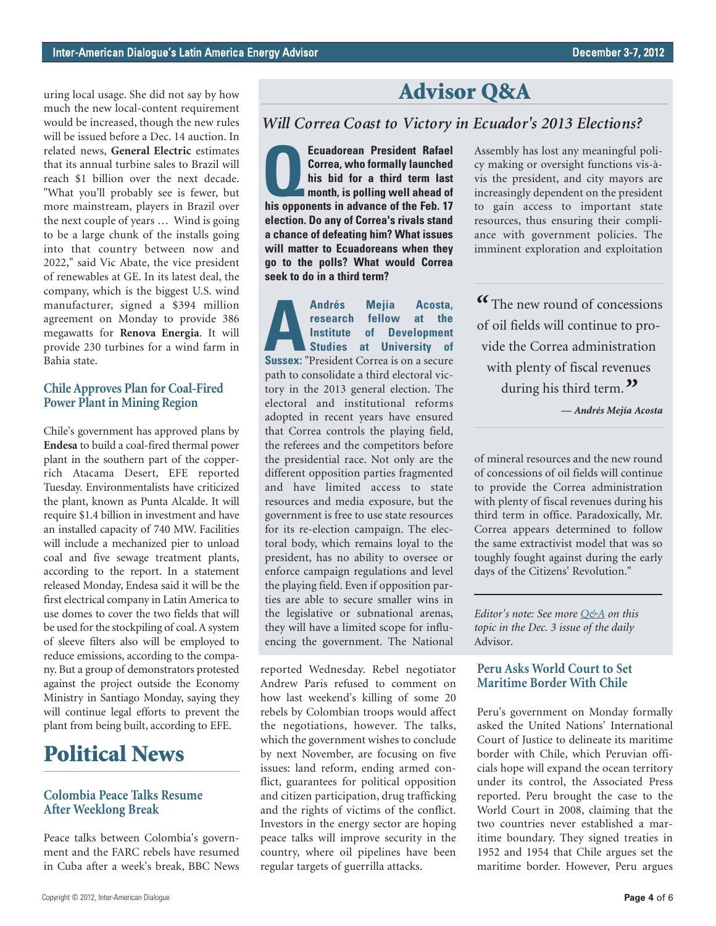uring local usage. She did not say by how much the new local-content requirement would be increased, though the new rules will be issued before a Dec. 14 auction. In related news, **General Electric** estimates that its annual turbine sales to Brazil will reach \$1 billion over the next decade. "What you'll probably see is fewer, but more mainstream, players in Brazil over the next couple of years … Wind is going to be a large chunk of the installs going into that country between now and 2022," said Vic Abate, the vice president of renewables at GE. In its latest deal, the company, which is the biggest U.S. wind manufacturer, signed a \$394 million agreement on Monday to provide 386 megawatts for **Renova Energia**. It will provide 230 turbines for a wind farm in Bahia state.

#### **Chile Approves Plan for Coal-Fired Power Plant in Mining Region**

Chile's government has approved plans by **Endesa** to build a coal-fired thermal power plant in the southern part of the copperrich Atacama Desert, EFE reported Tuesday. Environmentalists have criticized the plant, known as Punta Alcalde. It will require \$1.4 billion in investment and have an installed capacity of 740 MW. Facilities will include a mechanized pier to unload coal and five sewage treatment plants, according to the report. In a statement released Monday, Endesa said it will be the first electrical company in Latin America to use domes to cover the two fields that will be used for the stockpiling of coal. A system of sleeve filters also will be employed to reduce emissions, according to the company. But a group of demonstrators protested against the project outside the Economy Ministry in Santiago Monday, saying they will continue legal efforts to prevent the plant from being built, according to EFE.

### **Political News**

#### **Colombia Peace Talks Resume After Weeklong Break**

Peace talks between Colombia's government and the FARC rebels have resumed in Cuba after a week's break, BBC News

### **Advisor Q&A**

#### *Will Correa Coast to Victory in Ecuador's 2013 Elections?*

**Correa, who formally launched**<br>
his bid for a third term last<br>
month, is polling well ahead of<br>
his opponents in advance of the Feb. 17 **Correa, who formally launched his bid for a third term last month, is polling well ahead of election. Do any of Correa's rivals stand a chance of defeating him? What issues will matter to Ecuadoreans when they go to the polls? What would Correa seek to do in a third term?**

**Andrés Mejía Acosta,**<br> **Andrés Mejía Acosta,**<br> **Sussex:** "President Correa is on a secure<br> **Sussex:** "President Correa is on a secure **research fellow at the Institute of Development Studies at University of** path to consolidate a third electoral victory in the 2013 general election. The electoral and institutional reforms adopted in recent years have ensured that Correa controls the playing field, the referees and the competitors before the presidential race. Not only are the different opposition parties fragmented and have limited access to state resources and media exposure, but the government is free to use state resources for its re-election campaign. The electoral body, which remains loyal to the president, has no ability to oversee or enforce campaign regulations and level the playing field. Even if opposition parties are able to secure smaller wins in the legislative or subnational arenas, they will have a limited scope for influencing the government. The National

reported Wednesday. Rebel negotiator Andrew Paris refused to comment on how last weekend's killing of some 20 rebels by Colombian troops would affect the negotiations, however. The talks, which the government wishes to conclude by next November, are focusing on five issues: land reform, ending armed conflict, guarantees for political opposition and citizen participation, drug trafficking and the rights of victims of the conflict. Investors in the energy sector are hoping peace talks will improve security in the country, where oil pipelines have been regular targets of guerrilla attacks.

Assembly has lost any meaningful policy making or oversight functions vis-àvis the president, and city mayors are increasingly dependent on the president to gain access to important state resources, thus ensuring their compliance with government policies. The imminent exploration and exploitation

*"* The new round of concessions of oil fields will continue to provide the Correa administration with plenty of fiscal revenues during his third term.*"*

*— Andrés Mejía Acosta*

of mineral resources and the new round of concessions of oil fields will continue to provide the Correa administration with plenty of fiscal revenues during his third term in office. Paradoxically, Mr. Correa appears determined to follow the same extractivist model that was so toughly fought against during the early days of the Citizens' Revolution."

*Editor's note: See mor[e Q&A](http://www.thedialogue.org/uploads/LAA/Daily/2012/LAA121203.pdf) on this topic in the Dec. 3 issue of the daily* Advisor*.*

#### **Peru Asks World Court to Set Maritime Border With Chile**

Peru's government on Monday formally asked the United Nations' International Court of Justice to delineate its maritime border with Chile, which Peruvian officials hope will expand the ocean territory under its control, the Associated Press reported. Peru brought the case to the World Court in 2008, claiming that the two countries never established a maritime boundary. They signed treaties in 1952 and 1954 that Chile argues set the maritime border. However, Peru argues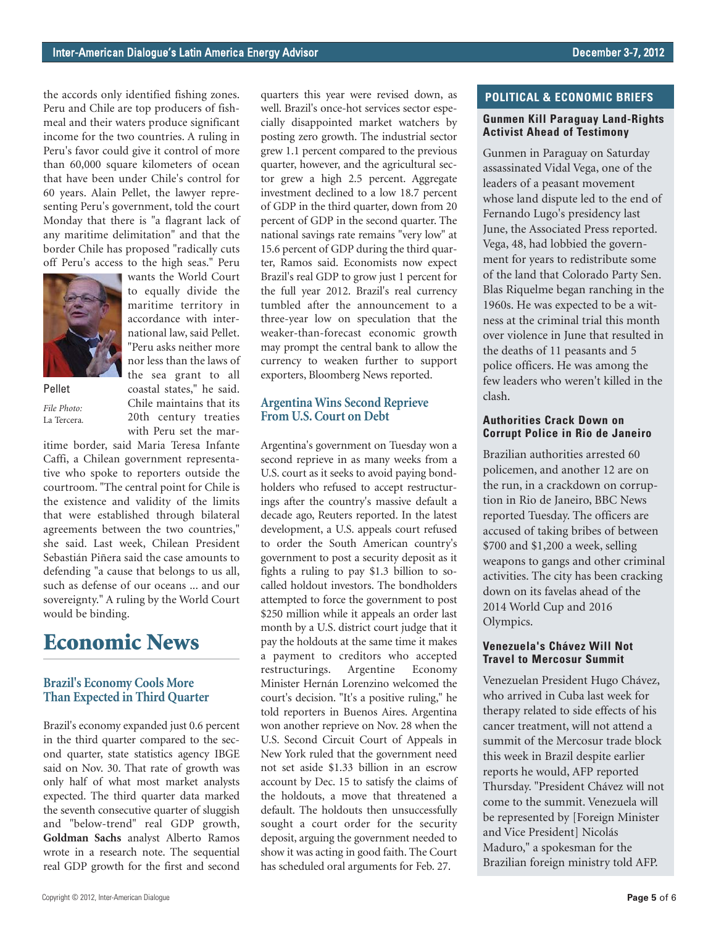the accords only identified fishing zones. Peru and Chile are top producers of fishmeal and their waters produce significant income for the two countries. A ruling in Peru's favor could give it control of more than 60,000 square kilometers of ocean that have been under Chile's control for 60 years. Alain Pellet, the lawyer representing Peru's government, told the court Monday that there is "a flagrant lack of any maritime delimitation" and that the border Chile has proposed "radically cuts off Peru's access to the high seas." Peru



Pellet *File Photo:*  La Tercera*.*

wants the World Court to equally divide the maritime territory in accordance with international law, said Pellet. "Peru asks neither more nor less than the laws of the sea grant to all coastal states," he said. Chile maintains that its 20th century treaties with Peru set the mar-

itime border, said Maria Teresa Infante Caffi, a Chilean government representative who spoke to reporters outside the courtroom. "The central point for Chile is the existence and validity of the limits that were established through bilateral agreements between the two countries," she said. Last week, Chilean President Sebastián Piñera said the case amounts to defending "a cause that belongs to us all, such as defense of our oceans ... and our sovereignty." A ruling by the World Court would be binding.

### **Economic News**

#### **Brazil's Economy Cools More Than Expected in Third Quarter**

Brazil's economy expanded just 0.6 percent in the third quarter compared to the second quarter, state statistics agency IBGE said on Nov. 30. That rate of growth was only half of what most market analysts expected. The third quarter data marked the seventh consecutive quarter of sluggish and "below-trend" real GDP growth, **Goldman Sachs** analyst Alberto Ramos wrote in a research note. The sequential real GDP growth for the first and second quarters this year were revised down, as well. Brazil's once-hot services sector especially disappointed market watchers by posting zero growth. The industrial sector grew 1.1 percent compared to the previous quarter, however, and the agricultural sector grew a high 2.5 percent. Aggregate investment declined to a low 18.7 percent of GDP in the third quarter, down from 20 percent of GDP in the second quarter. The national savings rate remains "very low" at 15.6 percent of GDP during the third quarter, Ramos said. Economists now expect Brazil's real GDP to grow just 1 percent for the full year 2012. Brazil's real currency tumbled after the announcement to a three-year low on speculation that the weaker-than-forecast economic growth may prompt the central bank to allow the currency to weaken further to support exporters, Bloomberg News reported.

#### **Argentina Wins Second Reprieve From U.S. Court on Debt**

Argentina's government on Tuesday won a second reprieve in as many weeks from a U.S. court as it seeks to avoid paying bondholders who refused to accept restructurings after the country's massive default a decade ago, Reuters reported. In the latest development, a U.S. appeals court refused to order the South American country's government to post a security deposit as it fights a ruling to pay \$1.3 billion to socalled holdout investors. The bondholders attempted to force the government to post \$250 million while it appeals an order last month by a U.S. district court judge that it pay the holdouts at the same time it makes a payment to creditors who accepted restructurings. Argentine Economy Minister Hernán Lorenzino welcomed the court's decision. "It's a positive ruling," he told reporters in Buenos Aires. Argentina won another reprieve on Nov. 28 when the U.S. Second Circuit Court of Appeals in New York ruled that the government need not set aside \$1.33 billion in an escrow account by Dec. 15 to satisfy the claims of the holdouts, a move that threatened a default. The holdouts then unsuccessfully sought a court order for the security deposit, arguing the government needed to show it was acting in good faith. The Court has scheduled oral arguments for Feb. 27.

#### **POLITICAL & ECONOMIC BRIEFS**

#### **Gunmen Kill Paraguay Land-Rights Activist Ahead of Testimony**

Gunmen in Paraguay on Saturday assassinated Vidal Vega, one of the leaders of a peasant movement whose land dispute led to the end of Fernando Lugo's presidency last June, the Associated Press reported. Vega, 48, had lobbied the government for years to redistribute some of the land that Colorado Party Sen. Blas Riquelme began ranching in the 1960s. He was expected to be a witness at the criminal trial this month over violence in June that resulted in the deaths of 11 peasants and 5 police officers. He was among the few leaders who weren't killed in the clash.

#### **Authorities Crack Down on Corrupt Police in Rio de Janeiro**

Brazilian authorities arrested 60 policemen, and another 12 are on the run, in a crackdown on corruption in Rio de Janeiro, BBC News reported Tuesday. The officers are accused of taking bribes of between \$700 and \$1,200 a week, selling weapons to gangs and other criminal activities. The city has been cracking down on its favelas ahead of the 2014 World Cup and 2016 Olympics.

#### **Venezuela's Chávez Will Not Travel to Mercosur Summit**

Venezuelan President Hugo Chávez, who arrived in Cuba last week for therapy related to side effects of his cancer treatment, will not attend a summit of the Mercosur trade block this week in Brazil despite earlier reports he would, AFP reported Thursday. "President Chávez will not come to the summit. Venezuela will be represented by [Foreign Minister and Vice President] Nicolás Maduro," a spokesman for the Brazilian foreign ministry told AFP.